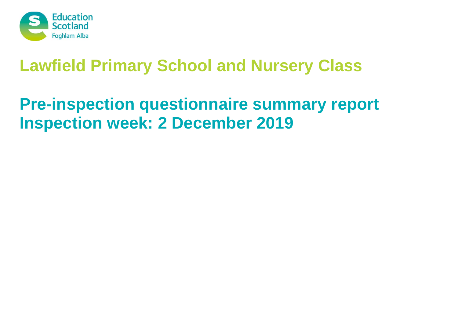

# **Pre-inspection questionnaire summary report Inspection week: 2 December 2019**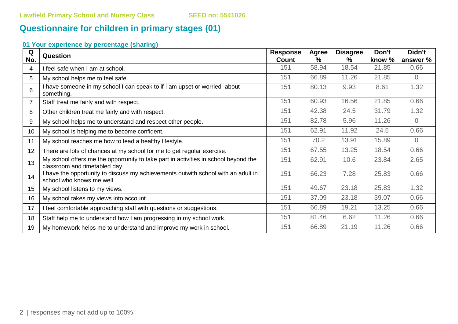# **Questionnaire for children in primary stages (01)**

# **01 Your experience by percentage (sharing)**

| Q   | Question                                                                                                             | <b>Response</b> | Agree | <b>Disagree</b> | Don't  | Didn't         |
|-----|----------------------------------------------------------------------------------------------------------------------|-----------------|-------|-----------------|--------|----------------|
| No. |                                                                                                                      | Count           | %     | $\%$            | know % | answer %       |
| 4   | I feel safe when I am at school.                                                                                     | 151             | 58.94 | 18.54           | 21.85  | 0.66           |
| 5   | My school helps me to feel safe.                                                                                     | 151             | 66.89 | 11.26           | 21.85  | $\overline{0}$ |
| 6   | I have someone in my school I can speak to if I am upset or worried about<br>something.                              | 151             | 80.13 | 9.93            | 8.61   | 1.32           |
|     | Staff treat me fairly and with respect.                                                                              | 151             | 60.93 | 16.56           | 21.85  | 0.66           |
| 8   | Other children treat me fairly and with respect.                                                                     | 151             | 42.38 | 24.5            | 31.79  | 1.32           |
| 9   | My school helps me to understand and respect other people.                                                           | 151             | 82.78 | 5.96            | 11.26  | $\Omega$       |
| 10  | My school is helping me to become confident.                                                                         | 151             | 62.91 | 11.92           | 24.5   | 0.66           |
| 11  | My school teaches me how to lead a healthy lifestyle.                                                                | 151             | 70.2  | 13.91           | 15.89  | $\Omega$       |
| 12  | There are lots of chances at my school for me to get regular exercise.                                               | 151             | 67.55 | 13.25           | 18.54  | 0.66           |
| 13  | My school offers me the opportunity to take part in activities in school beyond the<br>classroom and timetabled day. | 151             | 62.91 | 10.6            | 23.84  | 2.65           |
| 14  | I have the opportunity to discuss my achievements outwith school with an adult in<br>school who knows me well.       | 151             | 66.23 | 7.28            | 25.83  | 0.66           |
| 15  | My school listens to my views.                                                                                       | 151             | 49.67 | 23.18           | 25.83  | 1.32           |
| 16  | My school takes my views into account.                                                                               | 151             | 37.09 | 23.18           | 39.07  | 0.66           |
| 17  | I feel comfortable approaching staff with questions or suggestions.                                                  | 151             | 66.89 | 19.21           | 13.25  | 0.66           |
| 18  | Staff help me to understand how I am progressing in my school work.                                                  | 151             | 81.46 | 6.62            | 11.26  | 0.66           |
| 19  | My homework helps me to understand and improve my work in school.                                                    | 151             | 66.89 | 21.19           | 11.26  | 0.66           |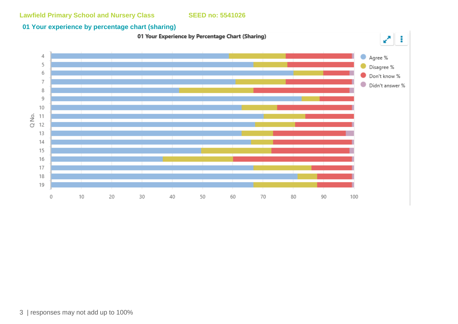# **01 Your experience by percentage chart (sharing)**

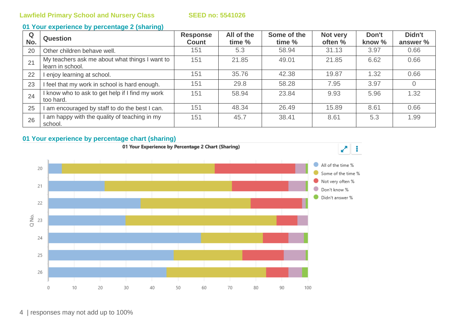### **01 Your experience by percentage 2 (sharing)**

| Q<br>No. | <b>Question</b>                                                    | <b>Response</b><br><b>Count</b> | All of the<br>time % | Some of the<br>time % | Not very<br>often % | Don't<br>know % | Didn't<br>answer % |
|----------|--------------------------------------------------------------------|---------------------------------|----------------------|-----------------------|---------------------|-----------------|--------------------|
| 20       | Other children behave well.                                        | 151                             | 5.3                  | 58.94                 | 31.13               | 3.97            | 0.66               |
| 21       | My teachers ask me about what things I want to<br>learn in school. | 151                             | 21.85                | 49.01                 | 21.85               | 6.62            | 0.66               |
| 22       | l enjoy learning at school.                                        | 151                             | 35.76                | 42.38                 | 19.87               | 1.32            | 0.66               |
| 23       | I feel that my work in school is hard enough.                      | 151                             | 29.8                 | 58.28                 | 7.95                | 3.97            |                    |
| 24       | I know who to ask to get help if I find my work<br>too hard.       | 151                             | 58.94                | 23.84                 | 9.93                | 5.96            | 1.32               |
| 25       | I am encouraged by staff to do the best I can.                     | 151                             | 48.34                | 26.49                 | 15.89               | 8.61            | 0.66               |
| 26       | am happy with the quality of teaching in my<br>school.             | 151                             | 45.7                 | 38.41                 | 8.61                | 5.3             | 1.99               |



4 | responses may not add up to 100%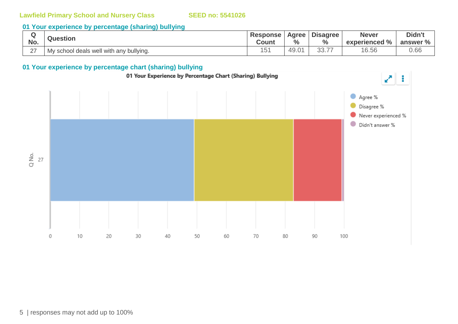## **01 Your experience by percentage (sharing) bullying**

| No.    | <b>Question</b>                         | <b>Response</b><br>Count | $\frac{0}{0}$              | Agree Disagree<br>$\frac{6}{6}$ | <b>Never</b><br>experienced % | Didn't<br>answer % |
|--------|-----------------------------------------|--------------------------|----------------------------|---------------------------------|-------------------------------|--------------------|
| $\sim$ | My school deals well with any bullying. | 51                       | $\sim$<br>$\sim$<br>. 49.ບ | へへ フフ<br>∪∪.≀                   | 16.56                         | 0.66               |

### **01 Your experience by percentage chart (sharing) bullying**

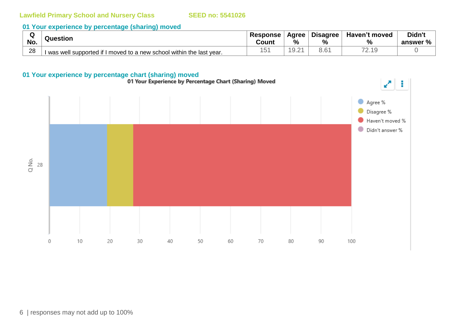### **01 Your experience by percentage (sharing) moved**

| w   | Question                                                              | <b>Response</b> | Agree                | <b>Disagree</b> | Haven't moved                                    | <b>Didn't</b> |
|-----|-----------------------------------------------------------------------|-----------------|----------------------|-----------------|--------------------------------------------------|---------------|
| No. |                                                                       | Count           | %                    | %               | %                                                | answer %      |
| 28  | I was well supported if I moved to a new school within the last year. | ◡               | $\cup$ . $\subseteq$ | $\sim$ $\sim$   | $\overline{\phantom{a}}$<br>$\sim$ $\sim$ $\sim$ |               |

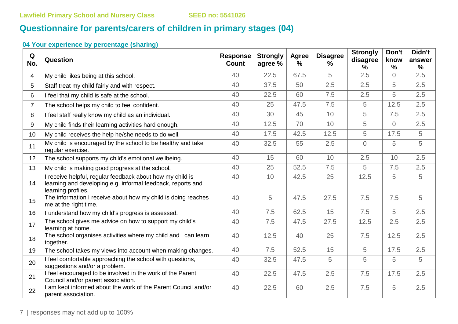# **Questionnaire for parents/carers of children in primary stages (04)**

# **04 Your experience by percentage (sharing)**

| Q<br>No.       | Question                                                                                                                                       | <b>Response</b><br><b>Count</b> | <b>Strongly</b><br>agree % | Agree<br>% | <b>Disagree</b><br>% | <b>Strongly</b><br>disagree<br>% | Don't<br>know<br>$\frac{9}{6}$ | Didn't<br>answer<br>$\frac{0}{0}$ |
|----------------|------------------------------------------------------------------------------------------------------------------------------------------------|---------------------------------|----------------------------|------------|----------------------|----------------------------------|--------------------------------|-----------------------------------|
| 4              | My child likes being at this school.                                                                                                           | 40                              | 22.5                       | 67.5       | 5                    | 2.5                              | $\overline{0}$                 | 2.5                               |
| 5              | Staff treat my child fairly and with respect.                                                                                                  | 40                              | 37.5                       | 50         | 2.5                  | 2.5                              | 5                              | 2.5                               |
| 6              | I feel that my child is safe at the school.                                                                                                    | 40                              | 22.5                       | 60         | 7.5                  | 2.5                              | 5                              | 2.5                               |
| $\overline{7}$ | The school helps my child to feel confident.                                                                                                   | 40                              | 25                         | 47.5       | 7.5                  | 5                                | 12.5                           | 2.5                               |
| 8              | I feel staff really know my child as an individual.                                                                                            | 40                              | 30                         | 45         | 10                   | 5                                | 7.5                            | 2.5                               |
| 9              | My child finds their learning activities hard enough.                                                                                          | 40                              | 12.5                       | 70         | 10                   | 5                                | $\overline{0}$                 | 2.5                               |
| 10             | My child receives the help he/she needs to do well.                                                                                            | 40                              | 17.5                       | 42.5       | 12.5                 | 5                                | 17.5                           | 5                                 |
| 11             | My child is encouraged by the school to be healthy and take<br>regular exercise.                                                               | 40                              | 32.5                       | 55         | 2.5                  | $\overline{0}$                   | 5                              | 5                                 |
| 12             | The school supports my child's emotional wellbeing.                                                                                            | 40                              | 15                         | 60         | 10                   | 2.5                              | 10                             | 2.5                               |
| 13             | My child is making good progress at the school.                                                                                                | 40                              | 25                         | 52.5       | 7.5                  | 5                                | 7.5                            | 2.5                               |
| 14             | I receive helpful, regular feedback about how my child is<br>learning and developing e.g. informal feedback, reports and<br>learning profiles. | 40                              | 10                         | 42.5       | 25                   | 12.5                             | 5                              | 5                                 |
| 15             | The information I receive about how my child is doing reaches<br>me at the right time.                                                         | 40                              | 5                          | 47.5       | 27.5                 | 7.5                              | 7.5                            | 5                                 |
| 16             | I understand how my child's progress is assessed.                                                                                              | 40                              | 7.5                        | 62.5       | 15                   | 7.5                              | 5                              | 2.5                               |
| 17             | The school gives me advice on how to support my child's<br>learning at home.                                                                   | 40                              | 7.5                        | 47.5       | 27.5                 | 12.5                             | 2.5                            | 2.5                               |
| 18             | The school organises activities where my child and I can learn<br>together.                                                                    | 40                              | 12.5                       | 40         | 25                   | 7.5                              | 12.5                           | 2.5                               |
| 19             | The school takes my views into account when making changes.                                                                                    | 40                              | 7.5                        | 52.5       | 15                   | 5                                | 17.5                           | 2.5                               |
| 20             | I feel comfortable approaching the school with questions,<br>suggestions and/or a problem.                                                     | 40                              | 32.5                       | 47.5       | 5                    | 5                                | 5                              | 5                                 |
| 21             | I feel encouraged to be involved in the work of the Parent<br>Council and/or parent association.                                               | 40                              | 22.5                       | 47.5       | 2.5                  | 7.5                              | 17.5                           | 2.5                               |
| 22             | I am kept informed about the work of the Parent Council and/or<br>parent association.                                                          | 40                              | 22.5                       | 60         | 2.5                  | 7.5                              | 5                              | 2.5                               |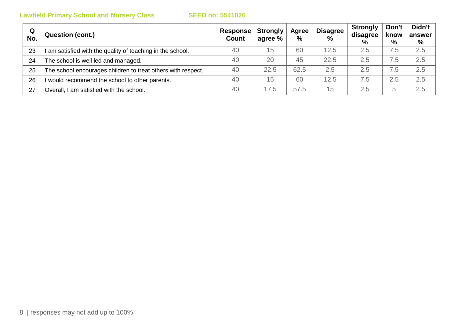| Q<br>No. | <b>Question (cont.)</b>                                      | Response  <br><b>Count</b> | <b>Strongly</b><br>agree % | Agree<br>$\%$ | <b>Disagree</b><br>$\frac{0}{0}$ | <b>Strongly</b><br>disagree<br>$\%$ | Don't<br>know<br>$\%$ | Didn't<br>answer<br>% |
|----------|--------------------------------------------------------------|----------------------------|----------------------------|---------------|----------------------------------|-------------------------------------|-----------------------|-----------------------|
| 23       | am satisfied with the quality of teaching in the school.     | 40                         | 15                         | 60            | 12.5                             | 2.5                                 | $^{\prime}$ .5        | 2.5                   |
| 24       | The school is well led and managed.                          | 40                         | 20                         | 45            | 22.5                             | 2.5                                 | $\cdot$ .5            | 2.5                   |
| 25       | The school encourages children to treat others with respect. | 40                         | 22.5                       | 62.5          | 2.5                              | 2.5                                 | $\cdot$ .5            | 2.5                   |
| 26       | would recommend the school to other parents.                 | 40                         | 15                         | 60            | 12.5                             | 7.5                                 | 2.5                   | 2.5                   |
| 27       | Overall, I am satisfied with the school.                     | 40                         | 17.5                       | 57.5          | 15                               | 2.5                                 | h                     | 2.5                   |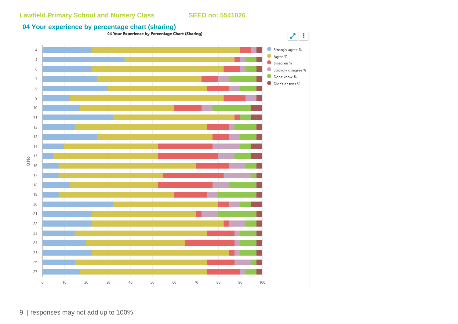

9 | responses may not add up to 100%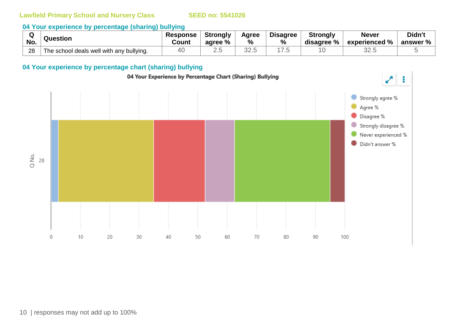### **04 Your experience by percentage (sharing) bullying**

| No. | Question                                 | <b>Response</b><br>Count | Strongly<br>agree % | Agree<br>% | <b>Disagree</b><br>$\%$ | <b>Strongly</b><br>disagree % | <b>Never</b><br>experienced % | Didn't<br>answer $%$ $ $ |
|-----|------------------------------------------|--------------------------|---------------------|------------|-------------------------|-------------------------------|-------------------------------|--------------------------|
| 28  | The school deals well with any bullying. |                          |                     | $\cap$     |                         |                               | ח הה<br>ں . ےں                |                          |

# **04 Your experience by percentage chart (sharing) bullying**

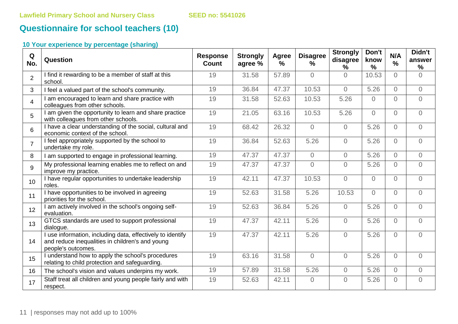# **Questionnaire for school teachers (10)**

# **10 Your experience by percentage (sharing)**

| Q<br>No.        | Question                                                                                                                            | <b>Response</b><br><b>Count</b> | <b>Strongly</b><br>agree % | <b>Agree</b><br>$\frac{0}{0}$ | <b>Disagree</b><br>$\%$ | <b>Strongly</b><br>disagree<br>% | Don't<br>know<br>$\frac{0}{0}$ | N/A<br>$\frac{0}{0}$ | Didn't<br>answer<br>$\%$ |
|-----------------|-------------------------------------------------------------------------------------------------------------------------------------|---------------------------------|----------------------------|-------------------------------|-------------------------|----------------------------------|--------------------------------|----------------------|--------------------------|
| $\overline{2}$  | I find it rewarding to be a member of staff at this<br>school.                                                                      | 19                              | 31.58                      | 57.89                         | $\Omega$                | $\Omega$                         | 10.53                          | $\Omega$             | $\Omega$                 |
| 3               | I feel a valued part of the school's community.                                                                                     | 19                              | 36.84                      | 47.37                         | 10.53                   | $\overline{0}$                   | 5.26                           | $\Omega$             | $\Omega$                 |
| $\overline{4}$  | I am encouraged to learn and share practice with<br>colleagues from other schools.                                                  | 19                              | 31.58                      | 52.63                         | 10.53                   | 5.26                             | $\Omega$                       | $\overline{0}$       | $\overline{0}$           |
| 5               | I am given the opportunity to learn and share practice<br>with colleagues from other schools.                                       | 19                              | 21.05                      | 63.16                         | 10.53                   | 5.26                             | $\overline{0}$                 | $\overline{0}$       | $\overline{0}$           |
| 6               | I have a clear understanding of the social, cultural and<br>economic context of the school.                                         | 19                              | 68.42                      | 26.32                         | $\Omega$                | $\Omega$                         | 5.26                           | $\Omega$             | $\overline{O}$           |
| $\overline{7}$  | I feel appropriately supported by the school to<br>undertake my role.                                                               | 19                              | 36.84                      | 52.63                         | 5.26                    | $\Omega$                         | 5.26                           | $\Omega$             | $\Omega$                 |
| 8               | I am supported to engage in professional learning.                                                                                  | 19                              | 47.37                      | 47.37                         | $\overline{0}$          | $\overline{O}$                   | 5.26                           | $\overline{0}$       | $\overline{O}$           |
| 9               | My professional learning enables me to reflect on and<br>improve my practice.                                                       | 19                              | 47.37                      | 47.37                         | $\overline{0}$          | $\overline{O}$                   | 5.26                           | $\overline{0}$       | $\overline{0}$           |
| 10 <sup>1</sup> | I have regular opportunities to undertake leadership<br>roles.                                                                      | 19                              | 42.11                      | 47.37                         | 10.53                   | $\overline{0}$                   | $\overline{0}$                 | $\Omega$             | $\overline{O}$           |
| 11              | I have opportunities to be involved in agreeing<br>priorities for the school.                                                       | 19                              | 52.63                      | 31.58                         | 5.26                    | 10.53                            | $\Omega$                       | $\Omega$             | $\Omega$                 |
| 12              | I am actively involved in the school's ongoing self-<br>evaluation.                                                                 | 19                              | 52.63                      | 36.84                         | 5.26                    | $\Omega$                         | 5.26                           | $\overline{0}$       | $\overline{0}$           |
| 13              | GTCS standards are used to support professional<br>dialogue.                                                                        | 19                              | 47.37                      | 42.11                         | 5.26                    | $\Omega$                         | 5.26                           | $\Omega$             | $\overline{0}$           |
| 14              | I use information, including data, effectively to identify<br>and reduce inequalities in children's and young<br>people's outcomes. | 19                              | 47.37                      | 42.11                         | 5.26                    | $\Omega$                         | 5.26                           | $\Omega$             | $\Omega$                 |
| 15              | I understand how to apply the school's procedures<br>relating to child protection and safeguarding.                                 | 19                              | 63.16                      | 31.58                         | $\overline{0}$          | $\overline{0}$                   | 5.26                           | $\Omega$             | $\Omega$                 |
| 16              | The school's vision and values underpins my work.                                                                                   | 19                              | 57.89                      | 31.58                         | 5.26                    | $\overline{O}$                   | 5.26                           | $\Omega$             | $\overline{O}$           |
| 17              | Staff treat all children and young people fairly and with<br>respect.                                                               | 19                              | 52.63                      | 42.11                         | $\overline{0}$          | $\overline{0}$                   | 5.26                           | $\Omega$             | $\overline{0}$           |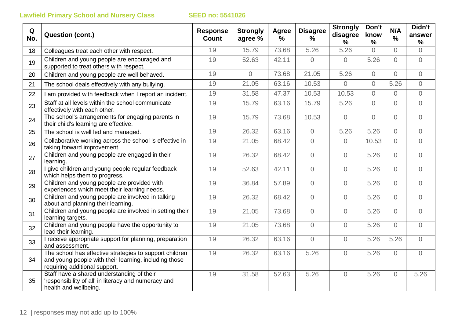| Q<br>No. | <b>Question (cont.)</b>                                                                                                                           | <b>Response</b><br><b>Count</b> | <b>Strongly</b><br>agree % | Agree<br>$\frac{1}{2}$ | <b>Disagree</b><br>% | <b>Strongly</b><br>disagree<br>$\%$ | Don't<br>know<br>$\%$ | N/A<br>%       | Didn't<br>answer<br>% |
|----------|---------------------------------------------------------------------------------------------------------------------------------------------------|---------------------------------|----------------------------|------------------------|----------------------|-------------------------------------|-----------------------|----------------|-----------------------|
| 18       | Colleagues treat each other with respect.                                                                                                         | 19                              | 15.79                      | 73.68                  | 5.26                 | 5.26                                | $\Omega$              | $\overline{0}$ | $\Omega$              |
| 19       | Children and young people are encouraged and<br>supported to treat others with respect.                                                           | 19                              | 52.63                      | 42.11                  | $\overline{0}$       | $\overline{0}$                      | 5.26                  | $\Omega$       | $\overline{0}$        |
| 20       | Children and young people are well behaved.                                                                                                       | 19                              | $\overline{0}$             | 73.68                  | 21.05                | 5.26                                | $\overline{0}$        | $\overline{0}$ | $\overline{O}$        |
| 21       | The school deals effectively with any bullying.                                                                                                   | 19                              | 21.05                      | 63.16                  | 10.53                | $\Omega$                            | $\overline{0}$        | 5.26           | $\overline{0}$        |
| 22       | I am provided with feedback when I report an incident.                                                                                            | 19                              | 31.58                      | 47.37                  | 10.53                | 10.53                               | $\overline{O}$        | $\overline{0}$ | $\overline{0}$        |
| 23       | Staff at all levels within the school communicate<br>effectively with each other.                                                                 | 19                              | 15.79                      | 63.16                  | 15.79                | 5.26                                | $\Omega$              | $\Omega$       | $\overline{0}$        |
| 24       | The school's arrangements for engaging parents in<br>their child's learning are effective.                                                        | 19                              | 15.79                      | 73.68                  | 10.53                | $\overline{0}$                      | $\overline{O}$        | $\overline{0}$ | $\overline{O}$        |
| 25       | The school is well led and managed.                                                                                                               | 19                              | 26.32                      | 63.16                  | $\overline{0}$       | 5.26                                | 5.26                  | $\overline{0}$ | $\overline{0}$        |
| 26       | Collaborative working across the school is effective in<br>taking forward improvement.                                                            | 19                              | 21.05                      | 68.42                  | $\Omega$             | $\Omega$                            | 10.53                 | $\Omega$       | $\overline{0}$        |
| 27       | Children and young people are engaged in their<br>learning.                                                                                       | 19                              | 26.32                      | 68.42                  | $\Omega$             | $\Omega$                            | 5.26                  | $\Omega$       | $\overline{0}$        |
| 28       | I give children and young people regular feedback<br>which helps them to progress.                                                                | 19                              | 52.63                      | 42.11                  | $\overline{0}$       | $\overline{0}$                      | 5.26                  | $\Omega$       | $\overline{0}$        |
| 29       | Children and young people are provided with<br>experiences which meet their learning needs.                                                       | 19                              | 36.84                      | 57.89                  | $\sqrt{a}$           | $\overline{0}$                      | 5.26                  | $\Omega$       | $\overline{0}$        |
| 30       | Children and young people are involved in talking<br>about and planning their learning.                                                           | 19                              | 26.32                      | 68.42                  | $\overline{0}$       | $\overline{0}$                      | 5.26                  | $\overline{0}$ | $\overline{0}$        |
| 31       | Children and young people are involved in setting their<br>learning targets.                                                                      | 19                              | 21.05                      | 73.68                  | $\overline{0}$       | $\overline{0}$                      | 5.26                  | $\overline{0}$ | $\overline{0}$        |
| 32       | Children and young people have the opportunity to<br>lead their learning.                                                                         | 19                              | 21.05                      | 73.68                  | $\sqrt{a}$           | $\overline{0}$                      | 5.26                  | $\overline{0}$ | $\overline{0}$        |
| 33       | I receive appropriate support for planning, preparation<br>and assessment.                                                                        | 19                              | 26.32                      | 63.16                  | $\overline{0}$       | $\overline{0}$                      | 5.26                  | 5.26           | $\overline{0}$        |
| 34       | The school has effective strategies to support children<br>and young people with their learning, including those<br>requiring additional support. | 19                              | 26.32                      | 63.16                  | 5.26                 | $\Omega$                            | 5.26                  | $\overline{O}$ | $\overline{0}$        |
| 35       | Staff have a shared understanding of their<br>'responsibility of all' in literacy and numeracy and<br>health and wellbeing.                       | 19                              | 31.58                      | 52.63                  | 5.26                 | $\overline{0}$                      | 5.26                  | $\overline{0}$ | 5.26                  |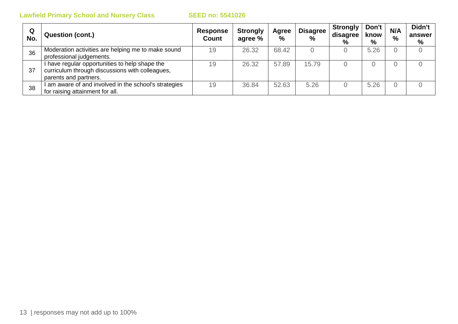| Q<br>No. | <b>Question (cont.)</b>                                                                                                    | <b>Response</b><br><b>Count</b> | <b>Strongly</b><br>agree % | Agree<br>% | <b>Disagree</b><br>$\frac{0}{0}$ | <b>Strongly</b><br>disagree<br>% | Don't<br>know<br>$\%$ | N/A<br>$\%$ | Didn't<br>answer<br>% |
|----------|----------------------------------------------------------------------------------------------------------------------------|---------------------------------|----------------------------|------------|----------------------------------|----------------------------------|-----------------------|-------------|-----------------------|
| 36       | Moderation activities are helping me to make sound<br>professional judgements.                                             | 19                              | 26.32                      | 68.42      |                                  |                                  | 5.26                  |             |                       |
| 37       | I have regular opportunities to help shape the<br>curriculum through discussions with colleagues,<br>parents and partners. | 19                              | 26.32                      | 57.89      | 15.79                            |                                  |                       |             |                       |
| 38       | am aware of and involved in the school's strategies<br>for raising attainment for all.                                     | 19                              | 36.84                      | 52.63      | 5.26                             |                                  | 5.26                  |             |                       |